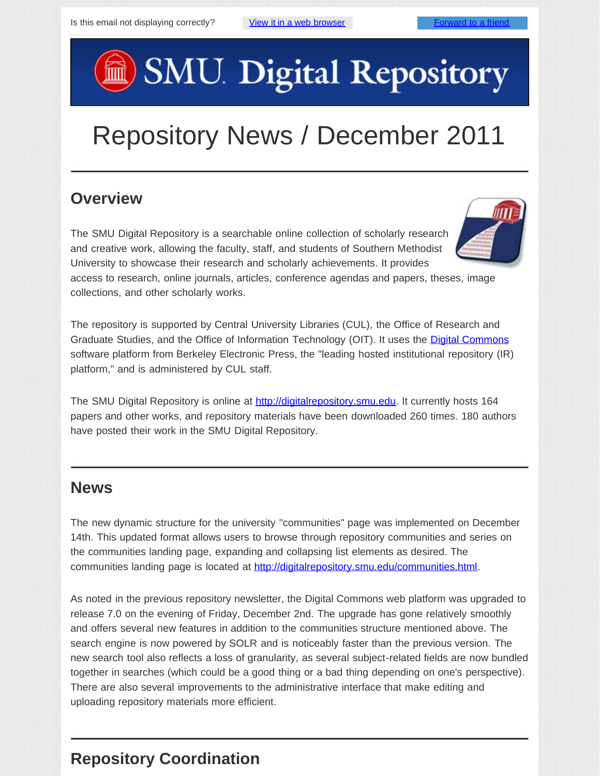# **SMU. Digital Repository**

# Repository News / December 2011

#### **Overview**

The SMU Digital Repository is a searchable online collection of scholarly research and creative work, allowing the faculty, staff, and students of Southern Methodist University to showcase their research and scholarly achievements. It provides

access to research, online journals, articles, conference agendas and papers, theses, image collections, and other scholarly works.

The repository is supported by Central University Libraries (CUL), the Office of Research and Graduate Studies, and the Office of Information Technology (OIT). It uses the **[Digital Commons](http://digitalcommons.bepress.com/faq/)** software platform from Berkeley Electronic Press, the "leading hosted institutional repository (IR) platform," and is administered by CUL staff.

The SMU Digital Repository is online at [http://digitalrepository.smu.edu](http://digitalrepository.smu.edu/). It currently hosts 164 papers and other works, and repository materials have been downloaded 260 times. 180 authors have posted their work in the SMU Digital Repository.

#### **News**

The new dynamic structure for the university "communities" page was implemented on December 14th. This updated format allows users to browse through repository communities and series on the communities landing page, expanding and collapsing list elements as desired. The communities landing page is located at [http://digitalrepository.smu.edu/communities.html.](http://digitalrepository.smu.edu/communities.html)

As noted in the previous repository newsletter, the Digital Commons web platform was upgraded to release 7.0 on the evening of Friday, December 2nd. The upgrade has gone relatively smoothly and offers several new features in addition to the communities structure mentioned above. The search engine is now powered by SOLR and is noticeably faster than the previous version. The new search tool also reflects a loss of granularity, as several subject-related fields are now bundled together in searches (which could be a good thing or a bad thing depending on one's perspective). There are also several improvements to the administrative interface that make editing and uploading repository materials more efficient.

## **Repository Coordination**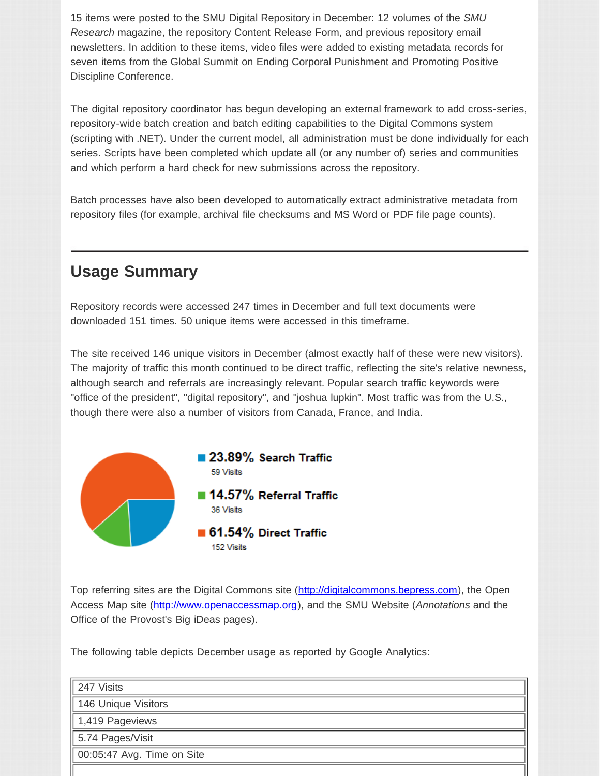15 items were posted to the SMU Digital Repository in December: 12 volumes of the *SMU Research* magazine, the repository Content Release Form, and previous repository email newsletters. In addition to these items, video files were added to existing metadata records for seven items from the Global Summit on Ending Corporal Punishment and Promoting Positive Discipline Conference.

The digital repository coordinator has begun developing an external framework to add cross-series, repository-wide batch creation and batch editing capabilities to the Digital Commons system (scripting with .NET). Under the current model, all administration must be done individually for each series. Scripts have been completed which update all (or any number of) series and communities and which perform a hard check for new submissions across the repository.

Batch processes have also been developed to automatically extract administrative metadata from repository files (for example, archival file checksums and MS Word or PDF file page counts).

#### **Usage Summary**

Repository records were accessed 247 times in December and full text documents were downloaded 151 times. 50 unique items were accessed in this timeframe.

The site received 146 unique visitors in December (almost exactly half of these were new visitors). The majority of traffic this month continued to be direct traffic, reflecting the site's relative newness, although search and referrals are increasingly relevant. Popular search traffic keywords were "office of the president", "digital repository", and "joshua lupkin". Most traffic was from the U.S., though there were also a number of visitors from Canada, France, and India.



Top referring sites are the Digital Commons site ([http://digitalcommons.bepress.com\)](http://digitalcommons.bepress.com/), the Open Access Map site ([http://www.openaccessmap.org\)](http://www.openaccessmap.org/), and the SMU Website (*Annotations* and the Office of the Provost's Big iDeas pages).

The following table depicts December usage as reported by Google Analytics:

| 247 Visits                  |  |
|-----------------------------|--|
| 146 Unique Visitors         |  |
| $\parallel$ 1,419 Pageviews |  |
| 5.74 Pages/Visit            |  |
| 00:05:47 Avg. Time on Site  |  |
|                             |  |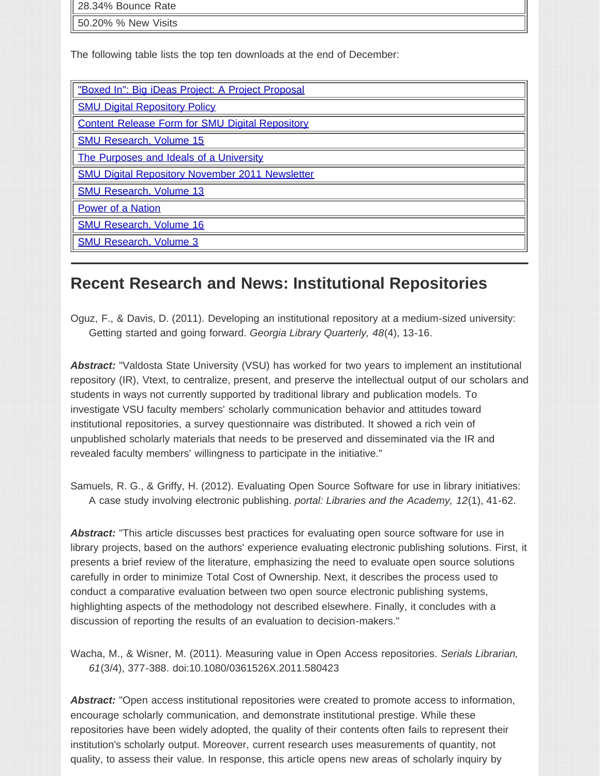| 28.34% Bounce Rate  |  |
|---------------------|--|
| 50.20% % New Visits |  |

The following table lists the top ten downloads at the end of December:

| "Boxed In": Big iDeas Project: A Project Proposal      |  |
|--------------------------------------------------------|--|
| <b>SMU Digital Repository Policy</b>                   |  |
| <b>Content Release Form for SMU Digital Repository</b> |  |
| <b>SMU Research, Volume 15</b>                         |  |
| The Purposes and Ideals of a University                |  |
| <b>SMU Digital Repository November 2011 Newsletter</b> |  |
| <b>SMU Research, Volume 13</b>                         |  |
| <b>Power of a Nation</b>                               |  |
| <b>SMU Research, Volume 16</b>                         |  |
| <b>SMU Research, Volume 3</b>                          |  |
|                                                        |  |

#### **Recent Research and News: Institutional Repositories**

Oguz, F., & Davis, D. (2011). Developing an institutional repository at a medium-sized university: Getting started and going forward. *Georgia Library Quarterly, 48*(4), 13-16.

Abstract: "Valdosta State University (VSU) has worked for two years to implement an institutional repository (IR), Vtext, to centralize, present, and preserve the intellectual output of our scholars and students in ways not currently supported by traditional library and publication models. To investigate VSU faculty members' scholarly communication behavior and attitudes toward institutional repositories, a survey questionnaire was distributed. It showed a rich vein of unpublished scholarly materials that needs to be preserved and disseminated via the IR and revealed faculty members' willingness to participate in the initiative."

Samuels, R. G., & Griffy, H. (2012). Evaluating Open Source Software for use in library initiatives: A case study involving electronic publishing. *portal: Libraries and the Academy, 12*(1), 41-62.

Abstract: "This article discusses best practices for evaluating open source software for use in library projects, based on the authors' experience evaluating electronic publishing solutions. First, it presents a brief review of the literature, emphasizing the need to evaluate open source solutions carefully in order to minimize Total Cost of Ownership. Next, it describes the process used to conduct a comparative evaluation between two open source electronic publishing systems, highlighting aspects of the methodology not described elsewhere. Finally, it concludes with a discussion of reporting the results of an evaluation to decision-makers."

Wacha, M., & Wisner, M. (2011). Measuring value in Open Access repositories. *Serials Librarian, 61*(3/4), 377-388. doi:10.1080/0361526X.2011.580423

*Abstract:* "Open access institutional repositories were created to promote access to information, encourage scholarly communication, and demonstrate institutional prestige. While these repositories have been widely adopted, the quality of their contents often fails to represent their institution's scholarly output. Moreover, current research uses measurements of quantity, not quality, to assess their value. In response, this article opens new areas of scholarly inquiry by